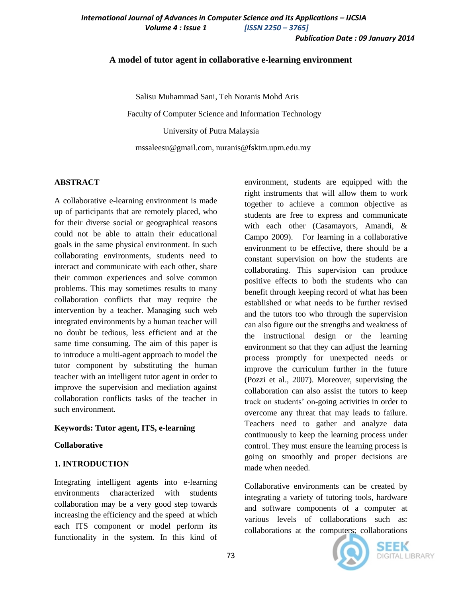## **A model of tutor agent in collaborative e-learning environment**

Salisu Muhammad Sani, Teh Noranis Mohd Aris

Faculty of Computer Science and Information Technology

University of Putra Malaysia

mssaleesu@gmail.com, nuranis@fsktm.upm.edu.my

### **ABSTRACT**

A collaborative e-learning environment is made up of participants that are remotely placed, who for their diverse social or geographical reasons could not be able to attain their educational goals in the same physical environment. In such collaborating environments, students need to interact and communicate with each other, share their common experiences and solve common problems. This may sometimes results to many collaboration conflicts that may require the intervention by a teacher. Managing such web integrated environments by a human teacher will no doubt be tedious, less efficient and at the same time consuming. The aim of this paper is to introduce a multi-agent approach to model the tutor component by substituting the human teacher with an intelligent tutor agent in order to improve the supervision and mediation against collaboration conflicts tasks of the teacher in such environment.

# **Keywords: Tutor agent, ITS, e-learning**

### **Collaborative**

# **1. INTRODUCTION**

Integrating intelligent agents into e-learning environments characterized with students collaboration may be a very good step towards increasing the efficiency and the speed at which each ITS component or model perform its functionality in the system. In this kind of

environment, students are equipped with the right instruments that will allow them to work together to achieve a common objective as students are free to express and communicate with each other (Casamayors, Amandi, & Campo 2009). For learning in a collaborative environment to be effective, there should be a constant supervision on how the students are collaborating. This supervision can produce positive effects to both the students who can benefit through keeping record of what has been established or what needs to be further revised and the tutors too who through the supervision can also figure out the strengths and weakness of the instructional design or the learning environment so that they can adjust the learning process promptly for unexpected needs or improve the curriculum further in the future (Pozzi et al., 2007). Moreover, supervising the collaboration can also assist the tutors to keep track on students' on-going activities in order to overcome any threat that may leads to failure. Teachers need to gather and analyze data continuously to keep the learning process under control. They must ensure the learning process is going on smoothly and proper decisions are made when needed.

Collaborative environments can be created by integrating a variety of tutoring tools, hardware and software components of a computer at various levels of collaborations such as: collaborations at the computers; collaborations



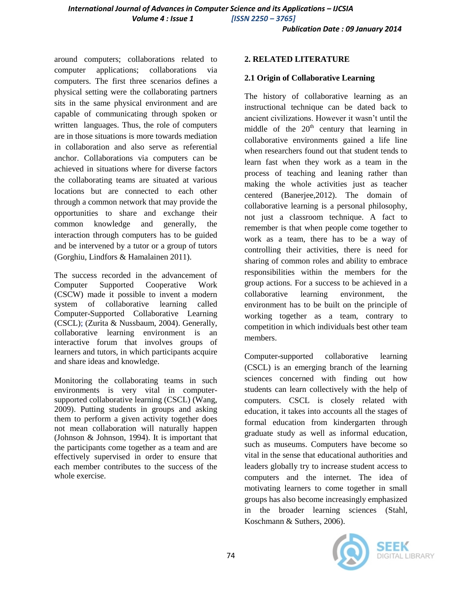around computers; collaborations related to computer applications; collaborations via computers. The first three scenarios defines a physical setting were the collaborating partners sits in the same physical environment and are capable of communicating through spoken or written languages. Thus, the role of computers are in those situations is more towards mediation in collaboration and also serve as referential anchor. Collaborations via computers can be achieved in situations where for diverse factors the collaborating teams are situated at various locations but are connected to each other through a common network that may provide the opportunities to share and exchange their common knowledge and generally, the interaction through computers has to be guided and be intervened by a tutor or a group of tutors (Gorghiu, Lindfors & Hamalainen 2011).

The success recorded in the advancement of Computer Supported Cooperative Work (CSCW) made it possible to invent a modern system of collaborative learning called Computer-Supported Collaborative Learning (CSCL); (Zurita & Nussbaum, 2004). Generally, collaborative learning environment is an interactive forum that involves groups of learners and tutors, in which participants acquire and share ideas and knowledge.

Monitoring the collaborating teams in such environments is very vital in computersupported collaborative learning (CSCL) (Wang, 2009). Putting students in groups and asking them to perform a given activity together does not mean collaboration will naturally happen (Johnson & Johnson, 1994). It is important that the participants come together as a team and are effectively supervised in order to ensure that each member contributes to the success of the whole exercise.

#### **2. RELATED LITERATURE**

## **2.1 Origin of Collaborative Learning**

The history of collaborative learning as an instructional technique can be dated back to ancient civilizations. However it wasn't until the middle of the  $20<sup>th</sup>$  century that learning in collaborative environments gained a life line when researchers found out that student tends to learn fast when they work as a team in the process of teaching and leaning rather than making the whole activities just as teacher centered (Banerjee,2012). The domain of collaborative learning is a personal philosophy, not just a classroom technique. A fact to remember is that when people come together to work as a team, there has to be a way of controlling their activities, there is need for sharing of common roles and ability to embrace responsibilities within the members for the group actions. For a success to be achieved in a collaborative learning environment, the environment has to be built on the principle of working together as a team, contrary to competition in which individuals best other team members.

Computer-supported collaborative learning (CSCL) is an emerging branch of the learning sciences concerned with finding out how students can learn collectively with the help of computers. CSCL is closely related with education, it takes into accounts all the stages of formal education from kindergarten through graduate study as well as informal education, such as museums. Computers have become so vital in the sense that educational authorities and leaders globally try to increase student access to computers and the internet. The idea of motivating learners to come together in small groups has also become increasingly emphasized in the broader learning sciences (Stahl, Koschmann & Suthers, 2006).

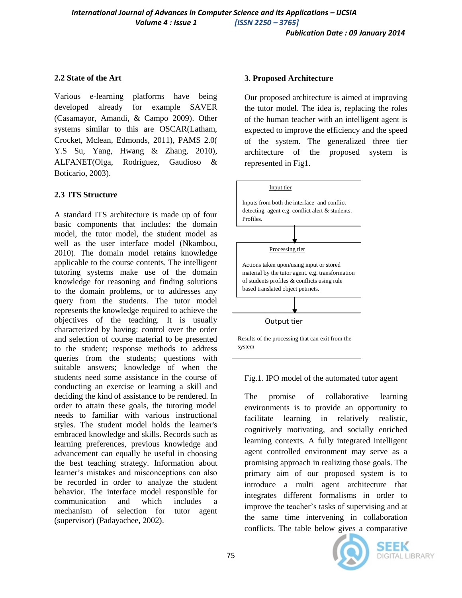## **2.2 State of the Art**

Various e-learning platforms have being developed already for example SAVER (Casamayor, Amandi, & Campo 2009). Other systems similar to this are OSCAR(Latham, Crocket, Mclean, Edmonds, 2011), PAMS 2.0( Y.S Su, Yang, Hwang & Zhang, 2010), ALFANET(Olga, Rodríguez, Gaudioso & Boticario, 2003).

# **2.3 ITS Structure**

A standard ITS architecture is made up of four basic components that includes: the domain model, the tutor model, the student model as well as the user interface model (Nkambou, 2010). The domain model retains knowledge applicable to the course contents. The intelligent tutoring systems make use of the domain knowledge for reasoning and finding solutions to the domain problems, or to addresses any query from the students. The tutor model represents the knowledge required to achieve the objectives of the teaching. It is usually characterized by having: control over the order and selection of course material to be presented to the student; response methods to address queries from the students; questions with suitable answers; knowledge of when the students need some assistance in the course of conducting an exercise or learning a skill and deciding the kind of assistance to be rendered. In order to attain these goals, the tutoring model needs to familiar with various instructional styles. The student model holds the learner's embraced knowledge and skills. Records such as learning preferences, previous knowledge and advancement can equally be useful in choosing the best teaching strategy. Information about learner's mistakes and misconceptions can also be recorded in order to analyze the student behavior. The interface model responsible for communication and which includes a mechanism of selection for tutor agent (supervisor) (Padayachee, 2002).

## **3. Proposed Architecture**

Our proposed architecture is aimed at improving the tutor model. The idea is, replacing the roles of the human teacher with an intelligent agent is expected to improve the efficiency and the speed of the system. The generalized three tier architecture of the proposed system is represented in Fig1.



Fig.1. IPO model of the automated tutor agent

The promise of collaborative learning environments is to provide an opportunity to facilitate learning in relatively realistic, cognitively motivating, and socially enriched learning contexts. A fully integrated intelligent agent controlled environment may serve as a promising approach in realizing those goals. The primary aim of our proposed system is to introduce a multi agent architecture that integrates different formalisms in order to improve the teacher's tasks of supervising and at the same time intervening in collaboration conflicts. The table below gives a comparative

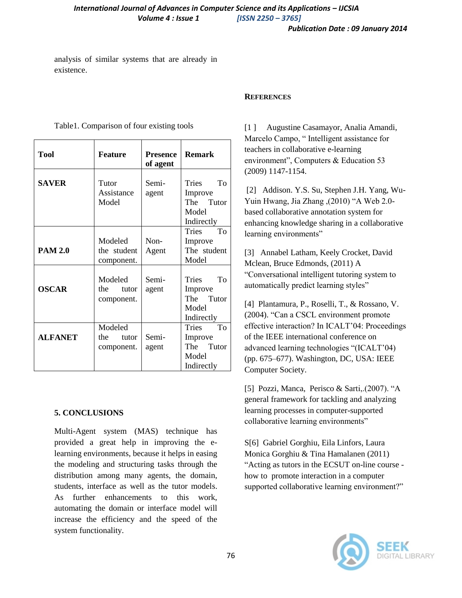analysis of similar systems that are already in existence.

| <b>Tool</b>    | <b>Feature</b>                        | <b>Presence</b><br>of agent | <b>Remark</b>                                                     |
|----------------|---------------------------------------|-----------------------------|-------------------------------------------------------------------|
| <b>SAVER</b>   | Tutor<br>Assistance<br>Model          | Semi-<br>agent              | To<br>Tries<br>Improve<br>The Tutor<br>Model<br>Indirectly        |
| <b>PAM 2.0</b> | Modeled<br>the student<br>component.  | Non-<br>Agent               | Tries<br>To<br>Improve<br>The student<br>Model                    |
| <b>OSCAR</b>   | Modeled<br>the<br>tutor<br>component. | Semi-<br>agent              | To<br>Tries<br>Improve<br>The Tutor<br>Model<br>Indirectly        |
| <b>ALFANET</b> | Modeled<br>the<br>tutor<br>component. | Semi-<br>agent              | <b>To</b><br>Tries<br>Improve<br>The Tutor<br>Model<br>Indirectly |

#### Table1. Comparison of four existing tools

#### **5. CONCLUSIONS**

Multi-Agent system (MAS) technique has provided a great help in improving the elearning environments, because it helps in easing the modeling and structuring tasks through the distribution among many agents, the domain, students, interface as well as the tutor models. As further enhancements to this work, automating the domain or interface model will increase the efficiency and the speed of the system functionality.

#### **REFERENCES**

[1 ] Augustine Casamayor, Analia Amandi, Marcelo Campo, " Intelligent assistance for teachers in collaborative e-learning environment", Computers & Education 53 (2009) 1147-1154.

[2] Addison. Y.S. Su, Stephen J.H. Yang, Wu-Yuin Hwang, Jia Zhang ,(2010) "A Web 2.0 based collaborative annotation system for enhancing knowledge sharing in a collaborative learning environments"

[3] Annabel Latham, Keely Crocket, David Mclean, Bruce Edmonds, (2011) A "Conversational intelligent tutoring system to automatically predict learning styles"

[4] Plantamura, P., Roselli, T., & Rossano, V. (2004). "Can a CSCL environment promote effective interaction? In ICALT'04: Proceedings of the IEEE international conference on advanced learning technologies "(ICALT'04) (pp. 675–677). Washington, DC, USA: IEEE Computer Society.

[5] Pozzi, Manca, Perisco & Sarti,.(2007). "A general framework for tackling and analyzing learning processes in computer-supported collaborative learning environments"

S[6] Gabriel Gorghiu, Eila Linfors, Laura Monica Gorghiu & Tina Hamalanen (2011) "Acting as tutors in the ECSUT on-line course how to promote interaction in a computer supported collaborative learning environment?"